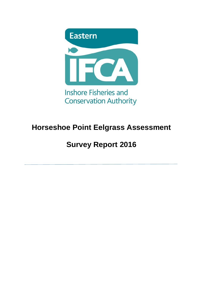

## **Horseshoe Point Eelgrass Assessment**

# **Survey Report 2016**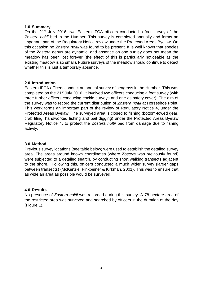#### **1.0 Summary**

On the 21<sup>st</sup> July 2016, two Eastern IFCA officers conducted a foot survey of the *Zostera noltii* bed in the Humber. This survey is completed annually and forms an important part of the Regulatory Notice review under the Protected Areas Byelaw. On this occasion no *Zostera noltii* was found to be present. It is well known that species of the *Zostera* genus are dynamic, and absence on one survey does not mean the meadow has been lost forever (the effect of this is particularly noticeable as the existing meadow is so small). Future surveys of the meadow should continue to detect whether this is just a temporary absence.

### **2.0 Introduction**

Eastern IFCA officers conduct an annual survey of seagrass in the Humber. This was completed on the 21st July 2016. It involved two officers conducing a foot survey (with three further officers conducing cockle surveys and one as safety cover). The aim of the survey was to record the current distribution of *Zostera noltii* at Horseshoe Point. This work forms an important part of the review of Regulatory Notice 4, under the Protected Areas Byelaw. The surveyed area is closed to fishing (bottom-towed gear, crab tiling, handworked fishing and bait digging) under the Protected Areas Byelaw Regulatory Notice 4, to protect the *Zostera noltii* bed from damage due to fishing activity.

#### **3.0 Method**

Previous survey locations (see table below) were used to establish the detailed survey area. The areas around known coordinates (where *Zostera* was previously found) were subjected to a detailed search, by conducting short walking transects adjacent to the shore. Following this, officers conducted a much wider survey (larger gaps between transects) (McKenzie, Finkbeiner & Kirkman, 2001). This was to ensure that as wide an area as possible would be surveyed.

#### **4.0 Results**

No presence of *Zostera noltii* was recorded during this survey. A 78-hectare area of the restricted area was surveyed and searched by officers in the duration of the day (Figure 1).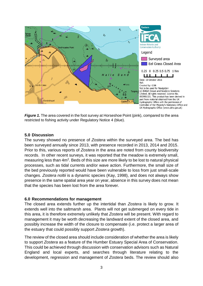

*Figure 1.* The area covered in the foot survey at Horseshoe Point (pink), compared to the area restricted to fishing activity under Regulatory Notice 4 (blue).

### **5.0 Discussion**

The survey showed no presence of *Zostera* within the surveyed area. The bed has been surveyed annually since 2013, with presence recorded in 2013, 2014 and 2015. Prior to this, various reports of *Zostera* in the area are noted from county biodiversity records. In other recent surveys, it was reported that the meadow is extremely small, measuring less than 4m<sup>2</sup>. Beds of this size are more likely to be lost to natural physical processes, such as tidal currents and/or wave action. Furthermore, the small size of the bed previously reported would have been vulnerable to loss from just small-scale changes. *Zostera noltii* is a dynamic species (Kay, 1998), and does not always show presence in the same spatial area year on year, absence in this survey does not mean that the species has been lost from the area forever.

### **6.0 Recommendations for management**

The closed area extends further up the intertidal than *Zostera* is likely to grow. It extends well into the saltmarsh area. Plants will not get submerged on every tide in this area, it is therefore extremely unlikely that *Zostera* will be present. With regard to management it may be worth decreasing the landward extent of the closed area, and possibly increase the width of the closure to compensate (i.e. protect a larger area of the estuary that could possibly support *Zostera* growth).

The review of the closed area should include consideration of whether the area is likely to support *Zostera* as a feature of the Humber Estuary Special Area of Conservation. This could be achieved through discussion with conservation advisors such as Natural England and local experts, and searches through literature relating to the development, regression and management of *Zostera* beds. The review should also